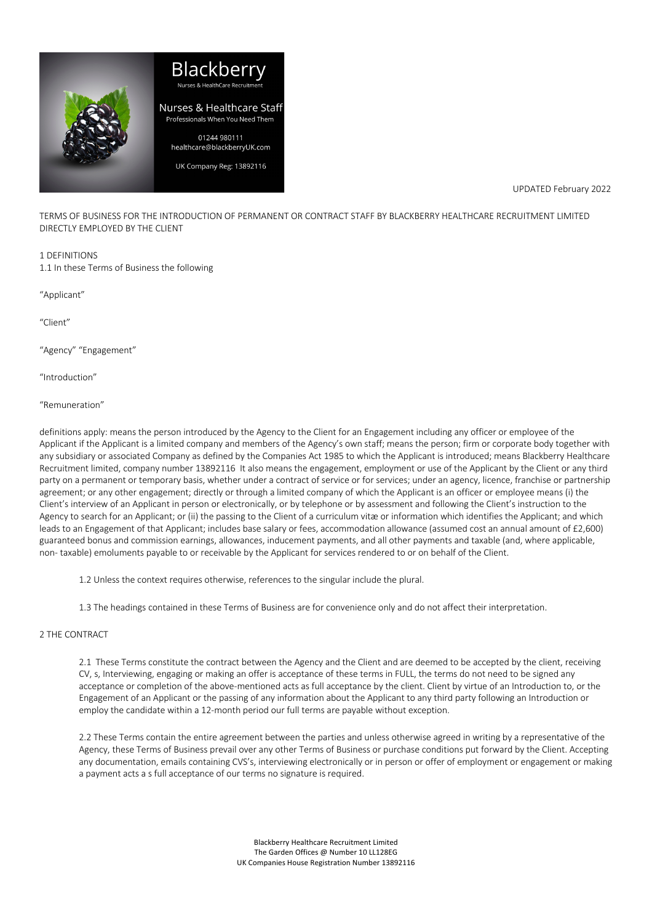

# Blackberi Nurses & Healthcare Staff Professionals When You Need Them 01244 980111 healthcare@blackberryUK.com

UK Company Reg: 13892116

UPDATED February 2022

TERMS OF BUSINESS FOR THE INTRODUCTION OF PERMANENT OR CONTRACT STAFF BY BLACKBERRY HEALTHCARE RECRUITMENT LIMITED DIRECTLY EMPLOYED BY THE CLIENT

#### 1 DEFINITIONS

1.1 In these Terms of Business the following

"Applicant"

 $^{\prime\prime}$ Client<sup>"</sup>

"Agency" "Engagement"

"Introduction"

"Remuneration"

definitions apply: means the person introduced by the Agency to the Client for an Engagement including any officer or employee of the Applicant if the Applicant is a limited company and members of the Agency's own staff; means the person; firm or corporate body together with any subsidiary or associated Company as defined by the Companies Act 1985 to which the Applicant is introduced; means Blackberry Healthcare Recruitment limited, company number 13892116 It also means the engagement, employment or use of the Applicant by the Client or any third party on a permanent or temporary basis, whether under a contract of service or for services; under an agency, licence, franchise or partnership agreement; or any other engagement; directly or through a limited company of which the Applicant is an officer or employee means (i) the Client's interview of an Applicant in person or electronically, or by telephone or by assessment and following the Client's instruction to the Agency to search for an Applicant; or (ii) the passing to the Client of a curriculum vitæ or information which identifies the Applicant; and which leads to an Engagement of that Applicant; includes base salary or fees, accommodation allowance (assumed cost an annual amount of £2,600) guaranteed bonus and commission earnings, allowances, inducement payments, and all other payments and taxable (and, where applicable, non- taxable) emoluments payable to or receivable by the Applicant for services rendered to or on behalf of the Client.

1.2 Unless the context requires otherwise, references to the singular include the plural.

1.3 The headings contained in these Terms of Business are for convenience only and do not affect their interpretation.

# 2 THE CONTRACT

2.1 These Terms constitute the contract between the Agency and the Client and are deemed to be accepted by the client, receiving CV, s, Interviewing, engaging or making an offer is acceptance of these terms in FULL, the terms do not need to be signed any acceptance or completion of the above-mentioned acts as full acceptance by the client. Client by virtue of an Introduction to, or the Engagement of an Applicant or the passing of any information about the Applicant to any third party following an Introduction or employ the candidate within a 12-month period our full terms are payable without exception.

2.2 These Terms contain the entire agreement between the parties and unless otherwise agreed in writing by a representative of the Agency, these Terms of Business prevail over any other Terms of Business or purchase conditions put forward by the Client. Accepting any documentation, emails containing CVS's, interviewing electronically or in person or offer of employment or engagement or making a payment acts a s full acceptance of our terms no signature is required.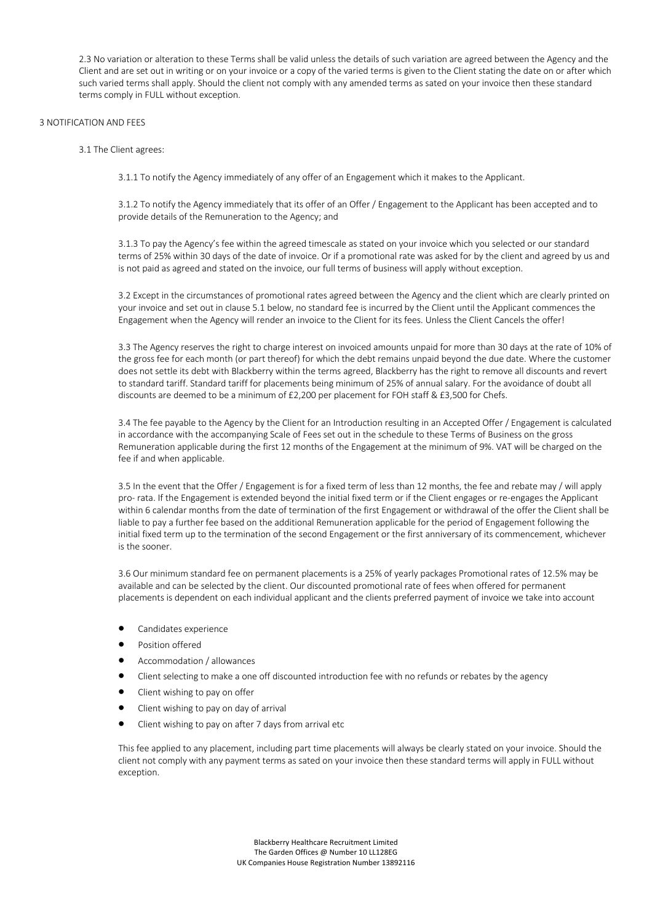2.3 No variation or alteration to these Terms shall be valid unless the details of such variation are agreed between the Agency and the Client and are set out in writing or on your invoice or a copy of the varied terms is given to the Client stating the date on or after which such varied terms shall apply. Should the client not comply with any amended terms as sated on your invoice then these standard terms comply in FULL without exception.

#### 3 NOTIFICATION AND FEES

#### 3.1 The Client agrees:

3.1.1 To notify the Agency immediately of any offer of an Engagement which it makes to the Applicant.

3.1.2 To notify the Agency immediately that its offer of an Offer / Engagement to the Applicant has been accepted and to provide details of the Remuneration to the Agency; and

3.1.3 To pay the Agency's fee within the agreed timescale as stated on your invoice which you selected or our standard terms of 25% within 30 days of the date of invoice. Or if a promotional rate was asked for by the client and agreed by us and is not paid as agreed and stated on the invoice, our full terms of business will apply without exception.

3.2 Except in the circumstances of promotional rates agreed between the Agency and the client which are clearly printed on your invoice and set out in clause 5.1 below, no standard fee is incurred by the Client until the Applicant commences the Engagement when the Agency will render an invoice to the Client for its fees. Unless the Client Cancels the offer!

3.3 The Agency reserves the right to charge interest on invoiced amounts unpaid for more than 30 days at the rate of 10% of the gross fee for each month (or part thereof) for which the debt remains unpaid beyond the due date. Where the customer does not settle its debt with Blackberry within the terms agreed, Blackberry has the right to remove all discounts and revert to standard tariff. Standard tariff for placements being minimum of 25% of annual salary. For the avoidance of doubt all discounts are deemed to be a minimum of £2,200 per placement for FOH staff & £3,500 for Chefs.

3.4 The fee payable to the Agency by the Client for an Introduction resulting in an Accepted Offer / Engagement is calculated in accordance with the accompanying Scale of Fees set out in the schedule to these Terms of Business on the gross Remuneration applicable during the first 12 months of the Engagement at the minimum of 9%. VAT will be charged on the fee if and when applicable.

3.5 In the event that the Offer / Engagement is for a fixed term of less than 12 months, the fee and rebate may / will apply pro- rata. If the Engagement is extended beyond the initial fixed term or if the Client engages or re-engages the Applicant within 6 calendar months from the date of termination of the first Engagement or withdrawal of the offer the Client shall be liable to pay a further fee based on the additional Remuneration applicable for the period of Engagement following the initial fixed term up to the termination of the second Engagement or the first anniversary of its commencement, whichever is the sooner.

3.6 Our minimum standard fee on permanent placements is a 25% of yearly packages Promotional rates of 12.5% may be available and can be selected by the client. Our discounted promotional rate of fees when offered for permanent placements is dependent on each individual applicant and the clients preferred payment of invoice we take into account

- Candidates experience
- Position offered
- Accommodation / allowances
- Client selecting to make a one off discounted introduction fee with no refunds or rebates by the agency
- Client wishing to pay on offer
- Client wishing to pay on day of arrival
- Client wishing to pay on after 7 days from arrival etc

This fee applied to any placement, including part time placements will always be clearly stated on your invoice. Should the client not comply with any payment terms as sated on your invoice then these standard terms will apply in FULL without exception.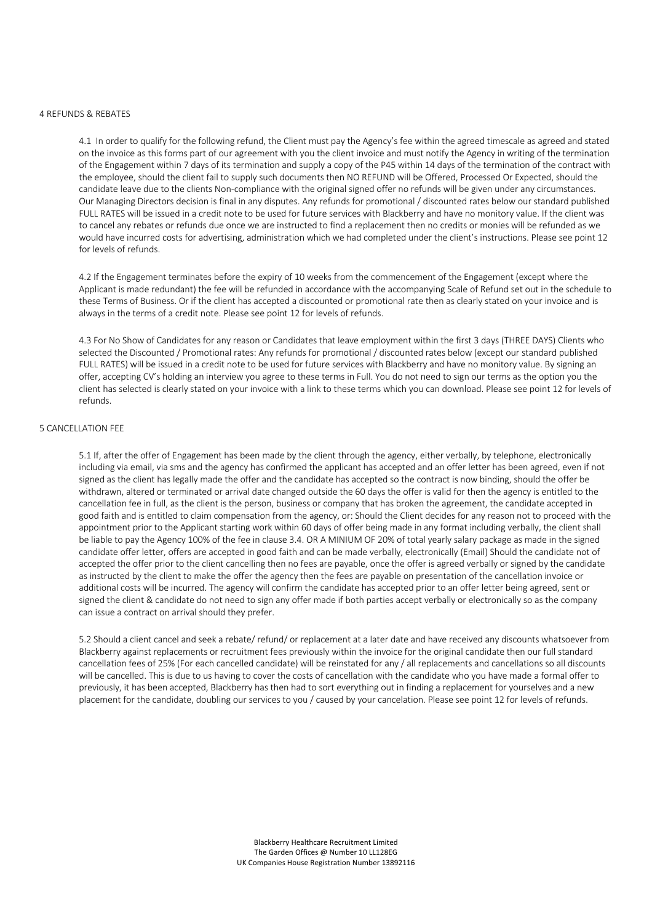#### 4 REFUNDS & REBATES

4.1 In order to qualify for the following refund, the Client must pay the Agency's fee within the agreed timescale as agreed and stated on the invoice as this forms part of our agreement with you the client invoice and must notify the Agency in writing of the termination of the Engagement within 7 days of its termination and supply a copy of the P45 within 14 days of the termination of the contract with the employee, should the client fail to supply such documents then NO REFUND will be Offered, Processed Or Expected, should the candidate leave due to the clients Non-compliance with the original signed offer no refunds will be given under any circumstances. Our Managing Directors decision is final in any disputes. Any refunds for promotional / discounted rates below our standard published FULL RATES will be issued in a credit note to be used for future services with Blackberry and have no monitory value. If the client was to cancel any rebates or refunds due once we are instructed to find a replacement then no credits or monies will be refunded as we would have incurred costs for advertising, administration which we had completed under the client's instructions. Please see point 12 for levels of refunds.

4.2 If the Engagement terminates before the expiry of 10 weeks from the commencement of the Engagement (except where the Applicant is made redundant) the fee will be refunded in accordance with the accompanying Scale of Refund set out in the schedule to these Terms of Business. Or if the client has accepted a discounted or promotional rate then as clearly stated on your invoice and is always in the terms of a credit note. Please see point 12 for levels of refunds.

4.3 For No Show of Candidates for any reason or Candidates that leave employment within the first 3 days (THREE DAYS) Clients who selected the Discounted / Promotional rates: Any refunds for promotional / discounted rates below (except our standard published FULL RATES) will be issued in a credit note to be used for future services with Blackberry and have no monitory value. By signing an offer, accepting CV's holding an interview you agree to these terms in Full. You do not need to sign our terms as the option you the client has selected is clearly stated on your invoice with a link to these terms which you can download. Please see point 12 for levels of refunds.

# 5 CANCELLATION FEE

5.1 If, after the offer of Engagement has been made by the client through the agency, either verbally, by telephone, electronically including via email, via sms and the agency has confirmed the applicant has accepted and an offer letter has been agreed, even if not signed as the client has legally made the offer and the candidate has accepted so the contract is now binding, should the offer be withdrawn, altered or terminated or arrival date changed outside the 60 days the offer is valid for then the agency is entitled to the cancellation fee in full, as the client is the person, business or company that has broken the agreement, the candidate accepted in good faith and is entitled to claim compensation from the agency, or: Should the Client decides for any reason not to proceed with the appointment prior to the Applicant starting work within 60 days of offer being made in any format including verbally, the client shall be liable to pay the Agency 100% of the fee in clause 3.4. OR A MINIUM OF 20% of total yearly salary package as made in the signed candidate offer letter, offers are accepted in good faith and can be made verbally, electronically (Email) Should the candidate not of accepted the offer prior to the client cancelling then no fees are payable, once the offer is agreed verbally or signed by the candidate as instructed by the client to make the offer the agency then the fees are payable on presentation of the cancellation invoice or additional costs will be incurred. The agency will confirm the candidate has accepted prior to an offer letter being agreed, sent or signed the client & candidate do not need to sign any offer made if both parties accept verbally or electronically so as the company can issue a contract on arrival should they prefer.

5.2 Should a client cancel and seek a rebate/ refund/ or replacement at a later date and have received any discounts whatsoever from Blackberry against replacements or recruitment fees previously within the invoice for the original candidate then our full standard cancellation fees of 25% (For each cancelled candidate) will be reinstated for any / all replacements and cancellations so all discounts will be cancelled. This is due to us having to cover the costs of cancellation with the candidate who you have made a formal offer to previously, it has been accepted, Blackberry has then had to sort everything out in finding a replacement for yourselves and a new placement for the candidate, doubling our services to you / caused by your cancelation. Please see point 12 for levels of refunds.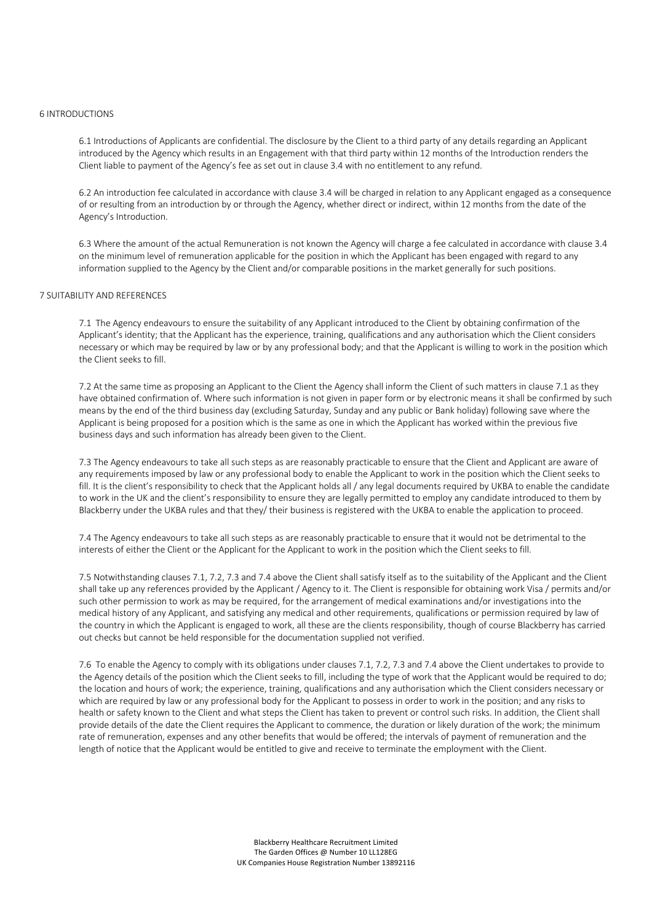#### 6 INTRODUCTIONS

6.1 Introductions of Applicants are confidential. The disclosure by the Client to a third party of any details regarding an Applicant introduced by the Agency which results in an Engagement with that third party within 12 months of the Introduction renders the Client liable to payment of the Agency's fee as set out in clause 3.4 with no entitlement to any refund.

6.2 An introduction fee calculated in accordance with clause 3.4 will be charged in relation to any Applicant engaged as a consequence of or resulting from an introduction by or through the Agency, whether direct or indirect, within 12 months from the date of the Agency's Introduction.

6.3 Where the amount of the actual Remuneration is not known the Agency will charge a fee calculated in accordance with clause 3.4 on the minimum level of remuneration applicable for the position in which the Applicant has been engaged with regard to any information supplied to the Agency by the Client and/or comparable positions in the market generally for such positions.

# 7 SUITABILITY AND REFERENCES

7.1 The Agency endeavours to ensure the suitability of any Applicant introduced to the Client by obtaining confirmation of the Applicant's identity; that the Applicant has the experience, training, qualifications and any authorisation which the Client considers necessary or which may be required by law or by any professional body; and that the Applicant is willing to work in the position which the Client seeks to fill.

7.2 At the same time as proposing an Applicant to the Client the Agency shall inform the Client of such matters in clause 7.1 as they have obtained confirmation of. Where such information is not given in paper form or by electronic means it shall be confirmed by such means by the end of the third business day (excluding Saturday, Sunday and any public or Bank holiday) following save where the Applicant is being proposed for a position which is the same as one in which the Applicant has worked within the previous five business days and such information has already been given to the Client.

7.3 The Agency endeavours to take all such steps as are reasonably practicable to ensure that the Client and Applicant are aware of any requirements imposed by law or any professional body to enable the Applicant to work in the position which the Client seeks to fill. It is the client's responsibility to check that the Applicant holds all / any legal documents required by UKBA to enable the candidate to work in the UK and the client's responsibility to ensure they are legally permitted to employ any candidate introduced to them by Blackberry under the UKBA rules and that they/ their business is registered with the UKBA to enable the application to proceed.

7.4 The Agency endeavours to take all such steps as are reasonably practicable to ensure that it would not be detrimental to the interests of either the Client or the Applicant for the Applicant to work in the position which the Client seeks to fill.

7.5 Notwithstanding clauses 7.1, 7.2, 7.3 and 7.4 above the Client shall satisfy itself as to the suitability of the Applicant and the Client shall take up any references provided by the Applicant / Agency to it. The Client is responsible for obtaining work Visa / permits and/or such other permission to work as may be required, for the arrangement of medical examinations and/or investigations into the medical history of any Applicant, and satisfying any medical and other requirements, qualifications or permission required by law of the country in which the Applicant is engaged to work, all these are the clients responsibility, though of course Blackberry has carried out checks but cannot be held responsible for the documentation supplied not verified.

7.6 To enable the Agency to comply with its obligations under clauses 7.1, 7.2, 7.3 and 7.4 above the Client undertakes to provide to the Agency details of the position which the Client seeks to fill, including the type of work that the Applicant would be required to do; the location and hours of work; the experience, training, qualifications and any authorisation which the Client considers necessary or which are required by law or any professional body for the Applicant to possess in order to work in the position; and any risks to health or safety known to the Client and what steps the Client has taken to prevent or control such risks. In addition, the Client shall provide details of the date the Client requires the Applicant to commence, the duration or likely duration of the work; the minimum rate of remuneration, expenses and any other benefits that would be offered; the intervals of payment of remuneration and the length of notice that the Applicant would be entitled to give and receive to terminate the employment with the Client.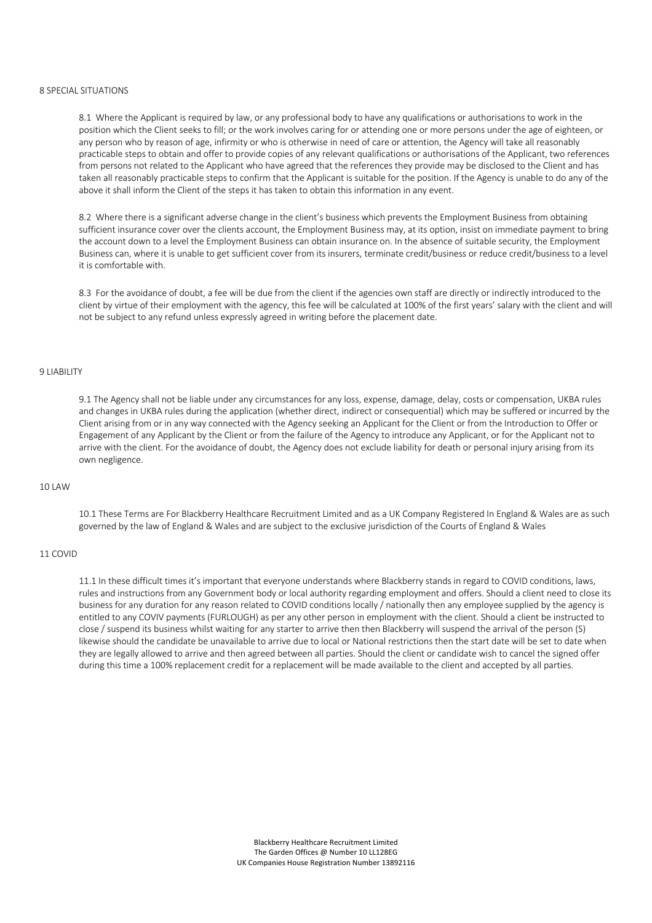## 8 SPECIAL SITUATIONS

8.1 Where the Applicant is required by law, or any professional body to have any qualifications or authorisations to work in the position which the Client seeks to fill; or the work involves caring for or attending one or more persons under the age of eighteen, or any person who by reason of age, infirmity or who is otherwise in need of care or attention, the Agency will take all reasonably practicable steps to obtain and offer to provide copies of any relevant qualifications or authorisations of the Applicant, two references from persons not related to the Applicant who have agreed that the references they provide may be disclosed to the Client and has taken all reasonably practicable steps to confirm that the Applicant is suitable for the position. If the Agency is unable to do any of the above it shall inform the Client of the steps it has taken to obtain this information in any event.

8.2 Where there is a significant adverse change in the client's business which prevents the Employment Business from obtaining sufficient insurance cover over the clients account, the Employment Business may, at its option, insist on immediate payment to bring the account down to a level the Employment Business can obtain insurance on. In the absence of suitable security, the Employment Business can, where it is unable to get sufficient cover from its insurers, terminate credit/business or reduce credit/business to a level it is comfortable with.

8.3 For the avoidance of doubt, a fee will be due from the client if the agencies own staff are directly or indirectly introduced to the client by virtue of their employment with the agency, this fee will be calculated at 100% of the first years' salary with the client and will not be subject to any refund unless expressly agreed in writing before the placement date.

#### 9 LIABILITY

9.1 The Agency shall not be liable under any circumstances for any loss, expense, damage, delay, costs or compensation, UKBA rules and changes in UKBA rules during the application (whether direct, indirect or consequential) which may be suffered or incurred by the Client arising from or in any way connected with the Agency seeking an Applicant for the Client or from the Introduction to Offer or Engagement of any Applicant by the Client or from the failure of the Agency to introduce any Applicant, or for the Applicant not to arrive with the client. For the avoidance of doubt, the Agency does not exclude liability for death or personal injury arising from its own negligence.

### 10 LAW

10.1 These Terms are For Blackberry Healthcare Recruitment Limited and as a UK Company Registered In England & Wales are as such governed by the law of England & Wales and are subject to the exclusive jurisdiction of the Courts of England & Wales

#### 11 COVID

11.1 In these difficult times it's important that everyone understands where Blackberry stands in regard to COVID conditions, laws, rules and instructions from any Government body or local authority regarding employment and offers. Should a client need to close its business for any duration for any reason related to COVID conditions locally / nationally then any employee supplied by the agency is entitled to any COVIV payments (FURLOUGH) as per any other person in employment with the client. Should a client be instructed to close / suspend its business whilst waiting for any starter to arrive then then Blackberry will suspend the arrival of the person (S) likewise should the candidate be unavailable to arrive due to local or National restrictions then the start date will be set to date when they are legally allowed to arrive and then agreed between all parties. Should the client or candidate wish to cancel the signed offer during this time a 100% replacement credit for a replacement will be made available to the client and accepted by all parties.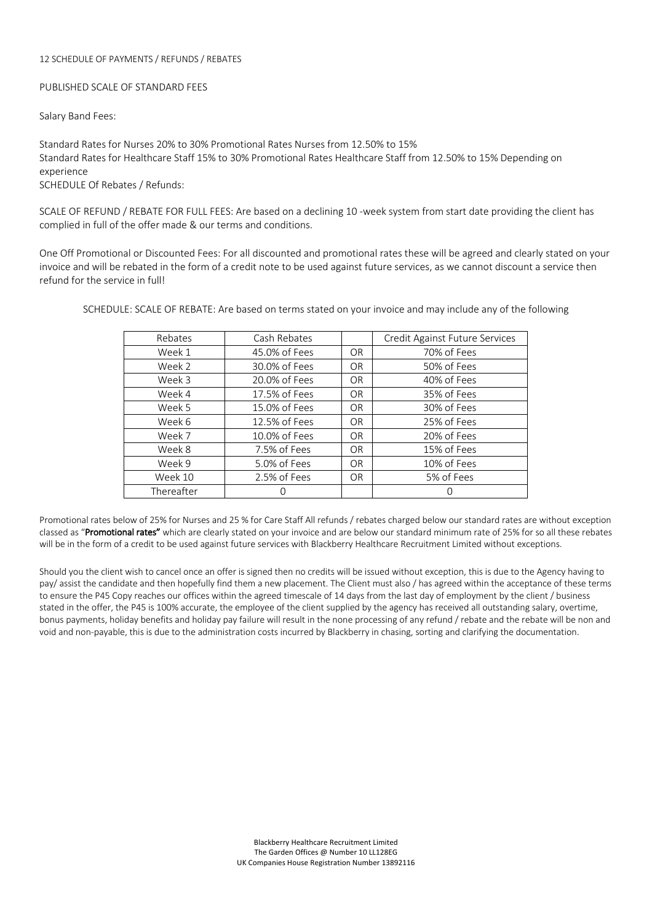### 12 SCHEDULE OF PAYMENTS / REFUNDS / REBATES

# PUBLISHED SCALE OF STANDARD FEES

Salary Band Fees:

Standard Rates for Nurses 20% to 30% Promotional Rates Nurses from 12.50% to 15% Standard Rates for Healthcare Staff 15% to 30% Promotional Rates Healthcare Staff from 12.50% to 15% Depending on experience SCHEDULE Of Rebates / Refunds:

SCALE OF REFUND / REBATE FOR FULL FEES: Are based on a declining 10 -week system from start date providing the client has complied in full of the offer made & our terms and conditions.

One Off Promotional or Discounted Fees: For all discounted and promotional rates these will be agreed and clearly stated on your invoice and will be rebated in the form of a credit note to be used against future services, as we cannot discount a service then refund for the service in full!

| Rebates    | Cash Rebates  |           | Credit Against Future Services |
|------------|---------------|-----------|--------------------------------|
| Week 1     | 45.0% of Fees | OR.       | 70% of Fees                    |
| Week 2     | 30.0% of Fees | OR        | 50% of Fees                    |
| Week 3     | 20.0% of Fees | OR        | 40% of Fees                    |
| Week 4     | 17.5% of Fees | <b>OR</b> | 35% of Fees                    |
| Week 5     | 15.0% of Fees | OR        | 30% of Fees                    |
| Week 6     | 12.5% of Fees | OR        | 25% of Fees                    |
| Week 7     | 10.0% of Fees | <b>OR</b> | 20% of Fees                    |
| Week 8     | 7.5% of Fees  | <b>OR</b> | 15% of Fees                    |
| Week 9     | 5.0% of Fees  | <b>OR</b> | 10% of Fees                    |
| Week 10    | 2.5% of Fees  | <b>OR</b> | 5% of Fees                     |
| Thereafter |               |           |                                |

SCHEDULE: SCALE OF REBATE: Are based on terms stated on your invoice and may include any of the following

Promotional rates below of 25% for Nurses and 25 % for Care Staff All refunds / rebates charged below our standard rates are without exception classed as "Promotional rates" which are clearly stated on your invoice and are below our standard minimum rate of 25% for so all these rebates will be in the form of a credit to be used against future services with Blackberry Healthcare Recruitment Limited without exceptions.

Should you the client wish to cancel once an offer is signed then no credits will be issued without exception, this is due to the Agency having to pay/ assist the candidate and then hopefully find them a new placement. The Client must also / has agreed within the acceptance of these terms to ensure the P45 Copy reaches our offices within the agreed timescale of 14 days from the last day of employment by the client / business stated in the offer, the P45 is 100% accurate, the employee of the client supplied by the agency has received all outstanding salary, overtime, bonus payments, holiday benefits and holiday pay failure will result in the none processing of any refund / rebate and the rebate will be non and void and non-payable, this is due to the administration costs incurred by Blackberry in chasing, sorting and clarifying the documentation.